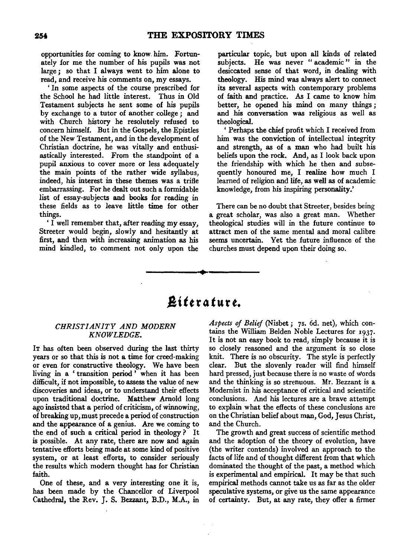opportunities for coming to know. him. Fortunately for me the number of his pupils was not large *;* so that I always went to him alone to read, and receive his comments on, my essays.

' In some aspects of the course prescribed for the School he had little interest. Thus in Old Testament subjects he sent some of his pupils by exchange to a tutor of another college *;* and with Church history he resolutely refused to concern himself. But in the Gospels, the Epistles of the New Testament, and in the development of Christian doctrine, he was vitally and enthusiastically interested. From the standpoint of a pupil anxious to cover more or less adequately the main points of the rather wide syllabus, indeed, his interest in these themes was a trifle embarrassing. For he dealt out such a formidable list of essay-subjects and books for reading in these fields as to leave little time for other things.

'I well remember that, after reading my essay, Streeter would begin, slowly and hesitantly at first, and then with increasing animation as his mind kindled, to comment not only upon the

particular topic, but upon all kinds of related subjects. He was never "academic" in the desiccated sense of that word, in dealing with theology. His mind was always alert to connect its several aspects with contemporary problems of faith and practice. As I came to know him better, he opened his mind on many things; and his conversation was religious as well as theological.

' Perhaps the chief profit which I received from him was the conviction of intellectual integrity and strength, as of a man who had built his beliefs upon the rock. And, as I look back upon the friendship with which he then and subsequently honoured me, I realize how much I learned of religion and life, as well as of academic knowledge, from his inspiring personality.'

There can be no doubt that Streeter, besides being a great scholar, was also a great man. Whether theological studies will in the future continue to attract men of the same mental and moral calibre seems uncertain. Yet the future influence of the churches must depend upon their doing so.

# $R$ *iterature.*

·•

#### *CHRIST /AN ITY AND MODERN KNOWLEDGE.*

IT has often been observed during the last thirty years or so that this is not a time for creed-making or even for constructive theology. We have been living in a 'transition period' when it has been difficult, if not impossible, to assess the value of new discoveries and ideas, or to understand their effects upon traditional doctrine. Matthew Amold long ago insisted that a period of criticism, of winnowing, of breaking up, must precede a period of construction and the appearance of a genius. Are we coming to the end of such a critical period in theology ? It is possible. At any rate, there are now and again tentative efforts being made at some kind of positive system, or at least efforts, to consider seriously the results which modem thought has for Christian faith.

One of these, and a very interesting one it is, has been made by the Chancellor of Liverpool Cathedral, the Rev. J. S. Bezzant, B.D., M.A., in *Aspects of Belief* (Nisbet; 7s. 6d. net), which contains the William Belden Noble Lectures for 1937· It is not an easy book to read, simply because it is so closely reasoned and the argument is so close knit. There is no obscurity. The style is perfectly clear. But the slovenly reader will find himself hard pressed, just because there is no waste of words and the thinking is so strenuous. Mr. Bezzant is a Modernist in his acceptance of critical and scientific conclusions. And his lectures are a brave attempt to explain what the effects of these conclusions are on the Christian belief about man, God, Jesus Christ, and the Church.

The growth and great success of scientific method and the adoption of the theory of evolution, have (the writer contends) involved an approach to the facts of life and of thought different from that which dominated the thought of the past, a method which is experimental and empirical. It may be that such empirical methods cannot take us as far as the older speculative systems, or give us the same appearance of certainty. But, at any rate, they offer a firmer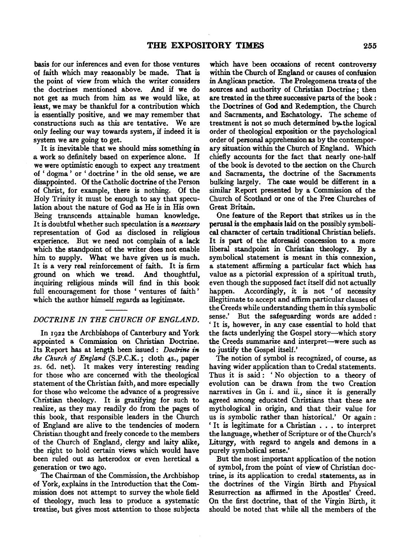basis for our inferences and even for those ventures of faith which may reasonably be made. That is the point of view from which the writer considers the doctrines mentioned above. And if we do not get as much from him as we would like, at least, we may be thankful for a contribution which is essentially positive, and we may remember that constructions such as this are tentative. We are only feeling our way towards system, if indeed it is system we are going to get.

It is inevitable that we should miss something in a work so definitely based on experience alone. If we were optimistic enough to expect any treatment of ' dogma ' or ' doctrine ' in the old sense, we are disappointed. Of the Catholic doctrine of the Person of Christ, for example, there is nothing. Of the Holy Trinity it must be enough to say that speculation about the nature of God as He is in His own Being transcends attainable human knowledge. It is doubtful whether such speculation is a *necessary*  representation of God as disclosed in religious experience. But we need not complain of a lack which the standpoint of the writer does not enable him to supply. What we have given us is much. It is a very real reinforcement of faith. It is firm ground on which we tread. And thoughtful, inquiring religious minds will find in this book full encouragement for those ' ventures of faith ' which the author himself regards as legitimate.

#### *DOCTRINE IN THE CHURCH OF ENGLAND.*

In 1922 the Archbishops of Canterbury and York appointed a Commission on Christian Doctrine. Its Report has at length been issued : *Doctrine in the Church of England* (S.P.C.K.; cloth 4s., paper 2s. 6d. net). It makes very interesting reading for those who are concerned with the theological statement of the Christian faith, and more especially for those who welcome the advance of a progressive Christian theology. It is gratifying for such to realize, as they may readily do from the pages of this book, that responsible leaders in the Church of England are alive to the tendencies of modem Christian thought and freely concede to the members of the Church of England, clergy and laity alike, the right to hold certain views which would have been ruled out as heterodox or even heretical a generation or two ago.

The Chairman of the Commission, the Archbishop of York, explains in the Introduction that the Commission does not attempt to survey the whole field of theology, much less to produce a systematic treatise, but gives most attention to those subjects which have been occasions of recent controversy within the Church of England or causes of confusion in Anglican practice. The Prolegomena treats of the sources and authority of Christian Doctrine ; then are treated in the three successive parts of the book : the Doctrines of God and Redemption, the Church and Sacraments, and Eschatology. The scheme of treatment is not so much determined by the logical order of theological exposition or the psychological order of personal apprehension as by the contemporary situation within the Church of England. Which chiefly accounts for the fact that nearly one-half of the book is devoted to the section on the Church and Sacraments, the doctrine of the Sacraments bulking largely. The case would be different in a similar Report presented by a Commission of the Church of Scotland or one of the Free Churches of Great Britain.

One feature of the Report that strikes us in the perusal is the emphasis laid on the possibly symbolical character of certain traditional Christian beliefs. It is part of the aforesaid concession to a more liberal standpoint in Christian theology. By a symbolical statement is meant in this connexion, a statement affirming a particular fact which has value as a pictorial expression of a spiritual truth, even though the supposed fact itself did not actually happen. Accordingly, it is not 'of necessity illegitimate to accept and affirm particular clauses of the Creeds while understanding them in this symbolic sense.' But the safeguarding words are added : 'It is, however, in any case essential to hold that the facts underlying the Gospel story-which story the Creeds summarize and interpret-were such as to justify the Gospel itself.'

The notion of symbol is recognized, of course, as having wider application than to Credal statements. Thus it is said : ' No objection to a theory of evolution can be drawn from the two Creation narratives in Gn i. and ii., since it is generally agreed among educated Christians that these are mythological in origin, and that their value for us is symbolic rather than historical.' Or again: ' It is legitimate for a Christian ... to interpret the language, whether of Scripture or of the Church's Liturgy, with regard to angels and demons in a purely symbolical sense.'

But the most important application of the notion of symbol, from the point of view of Christian doctrine, is its application to credal statements, as in the doctrines of the Virgin Birth and Physical Resurrection as affirmed in the Apostles' Creed. On the first doctrine, that of the Virgin Birth, it should be noted that while all the members of the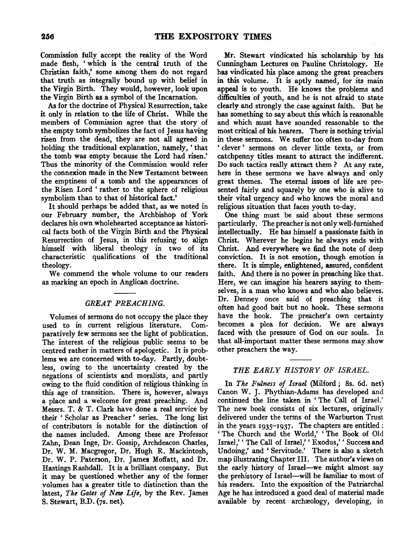Commission fully accept the reality of the Word made flesh, ' which is the central truth of the Christian faith,' some among them do not regard that truth as integrally bound up with belief in the Virgin Birth. They would, however, look upon the Virgin Birth as a symbol of the Incarnation.

As for the doctrine of Physical Resurrection, take it only in relation to the life of Christ. While the members of Commission agree that the story of the empty tomb symbolizes the fact of Jesus having risen from the dead, they are not all agreed in holding the traditional explanation, namely,' that the tomb was empty because the Lord had risen.' Thus the minority of the Commission would refer the connexion made in the New Testament between the emptiness of a tomb and the appearances of the Risen Lord ' rather to the sphere of religious symbolism than to that of historical fact.'

It should perhaps be added that, as we noted in our February number, the Archbishop of York declares his own wholehearted acceptance as historical facts both of the Virgin Birth and the Physical Resurrection of Jesus, in this refusing to align himself with liberal theology in two of its characteristic qualifications of the traditional theology.

We commend the whole volume to our readers as marking an epoch in Anglican doctrine.

#### *GREAT PREACHING.*

Volumes of sermons do not occupy the place they used to in current religious literature. Comparatively few sermons see the light of publication. The interest of the religious public seems to be centred rather in matters of apologetic. It is problems we are concerned with to-day. Partly, doubtless, owing to the uncertainty created by the negations of scientists and moralists, and partly owing to the fluid condition of religious thinking in this age of transition. There is, however, always a place and a welcome for great preaching. And Messrs. T. & T. Clark have done a real service by their ' Scholar as Preacher ' series. The long list of contributors is notable for the distinction of the names included. Among these are Professor Zahn, Dean Inge, Dr. Gossip, Archdeacon Charles, Dr. W. M. Macgregor, Dr. Hugh R. Mackintosh, Dr. W. P. Paterson, Dr. James Mofiatt, and Dr. Hastings Rashdall. It is a brilliant company. But it may be questioned whether any of the former volumes has a greater title to distinction than the latest, *The Gates of New Life,* by the Rev. James S. Stewart, B.D. (7s. net).

Mr. Stewart vindicated his scholarship by his Cunningham Lectures on Pauline Christology. He has vindicated his place among the great preachers in this volume. It is aptly named, for its main appeal is to youth. He knows the problems and difficulties of youth, and he is not afraid to state clearly and strongly the case against faith. But he has something to say about this which is reasonable and which must have sounded reasonable to the most critical of his hearers. There is nothing trivial in these sermons. We suffer too often to-day from ' clever ' sermons on clever little texts, or from catchpenny titles meant to attract the indifferent. Do such tactics really attract them ? At any rate, here in these sermons we have always and only great themes. The eternal issues of life are presented fairly and squarely by one who is alive to their vital urgency and who knows the moral and religious situation that faces youth to-day.

One thing must be said about these sermons particularly. The preacher is not only well-furnished intellectually. He has himself a passionate faith in Christ. Wherever he begins he always ends with Christ. And everywhere we find the note of deep conviction. It is not emotion, though emotion is there. It is simple, enlightened, assured, confident faith. And there is no power in preaching like that. Here, we can imagine his hearers saying to themselves, is a man who knows and who also believes. Dr. Denney once said of preaching that it often had good bait but no hook. These sermons have the hook. The preacher's own certainty becomes a plea for decision. We are always faced with the pressure of God on our souls. In that all-important matter these sermons may show other preachers the way.

#### *THE EARLY HISTORY OF ISRAEL.*

In *The Fulness of Israel* (Milford; 8s. 6d. net) Canon W. J. Phythian-Adams has developed and continued the line taken in ' The Call of Israel.' The new book consists of six lectures, originally delivered under the terms of the Warburton Trust in the years 1935-1937· The chapters are entitled: 'The Church and the World,' 'The Book of Old Israel,' 'The Call of Israel,' ' Exodus,' ' Success and Undoing,' and 'Servitude.' There is also a sketch map illustrating Chapter Ill. The author's views on the early history of Israel-we might almost say the prehistory of Israel-will be familiar to most of his readers. Into the exposition of the Patriarchal Age he has introduced a good deal of material made available by recent archæology, developing, in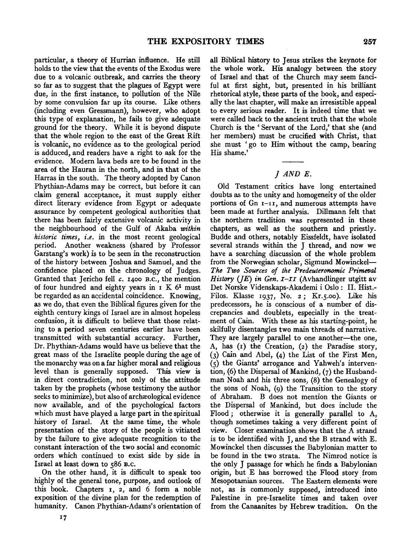particular, a theory of Hurrian influence. He still holds to the view that the events of the Exodus were due to a volcanic outbreak, and carries the theory so far as to suggest that the plagues of Egypt were due, in the first instance, to pollution of the Nile by some convulsion far up its course. Like others (including even Gressmann), however, who adopt this type of explanation, he fails to give adequate ground for the theory. While it is beyond dispute that the whole region to the east of the Great Rift is volcanic, no evidence as to the geological period is adduced, and readers have a right to ask for the evidence. Modern lava beds are to be found in the area of the Hauran in the north, and in that of the Harras in the south. The theory adopted by Canon Phythian-Adams may be correct, but before it can claim general acceptance, it must supply either direct literary evidence from Egypt or adequate assurance by competent geological authorities that there has been fairly extensive volcanic activity in the neighbourhood of the Gulf of Akaba *within historic times, i.e.* in the most recent geological period. Another weakness (shared by Professor Garstang's work) is to be seen in the reconstruction of the history between Joshua and Samuel, and the confidence placed on the chronology of Judges. Granted that Jericho fell *c.* I4oo B.c., the mention of four hundred and eighty years in  $I K 6<sup>1</sup>$  must be regarded as an accidental coincidence. Knowing, as we do, that even the Biblical figures given for the eighth century kings of Israel are in almost hopeless confusion, it is difficult to believe that those relating to a period seven centuries earlier have been transmitted with substantial accuracy. Further, Dr. Phythian-Adams would have us believe that the great mass of the Israelite people during the age of the monarchy was on a far higher moral and religious level than is generally supposed. This view is in direct contradiction, not only of the attitude taken by the prophets (whose testimony the author seeks to minimize), but also of archaeological evidence now available, and of the psychological factors which must have played a large part in the spiritual history of Israel. At the same time, the whole presentation of the story of the people is vitiated by the failure to give adequate recognition to the constant interaction of the two social and economic orders which continued to exist side by side in Israel at least down to s86 B.C.

On the other hand, it is difficult to speak too highly of the general tone, purpose, and outlook of this book. Chapters 1, 2, and 6 form a noble exposition of the divine plan for the redemption of humanity. Canon Phythian-Adams's orientation of all Biblical history to Jesus strikes the keynote for the whole work. His analogy between the story of Israel and that of the Church may seem fanciful at first sight, but, presented in his brilliant rhetorical style, these parts of the book, and especially the last chapter, will make an irresistible appeal to every serious reader. It is indeed time that we were called back to the ancient truth that the whole Church is the 'Servant of the Lord,' that she (and her members) must be crucified with Christ, that she must ' go to Him without the camp, bearing His shame.'

## J AND E.

Old Testament critics have long entertained doubts as to the unity and homogeneity of the older portions of  $Gn$   $I-II$ , and numerous attempts have been made at further analysis. Dillmann felt that the northern tradition was represented in these chapters, as well as the southern and priestly. Budde and others, notably Eissfeldt, have isolated several strands within the J thread, and now we have a searching discussion of the whole problem from the Norwegian scholar, Sigmund Mowinckel-The Two Sources of the Predeuteronomic Primeval *History (JE) in Gen. I-II* (Avhandlinger utgitt av Det Norske Videnskaps-Akademi i Oslo : II. Hist.- Filos. Klasse 1937, No. 2; Kr.s.oo). Like his predecessors, he is conscious of a number of discrepancies and doublets, especially in the treatment of Cain. With these as his starting-point, he skilfully disentangles two main threads of narrative. They are largely parallel to one another-the one, A, has (I) the Creation, (2) the Paradise story, (3) Cain and Abel, (4) the List of the First Men, (5) the Giants' arrogance and Yahweh's intervention, (6) the Dispersal of Mankind, (7) the Husbandman Noah and his three sons, (8) the Genealogy of the sons of Noah, (9) the Transition to the story of Abraham. B does not mention the Giants or the Dispersal of Mankind, but does include the Flood ; otherwise it is generally parallel to A, though sometimes taking a very different point of view. Closer examination shows that the A strand is to be identified with J, and the B strand with E. Mowinckel then discusses the Babylonian matter to be found in the two strata. The Nimrod notice is the only J passage for which he finds a Babylonian origin, but E has borrowed the Flood story from Mesopotamian sources. The Eastern elements were not, as is commonly supposed, introduced into Palestine in pre-Israelite times and taken over from the Canaanites by Hebrew tradition. On the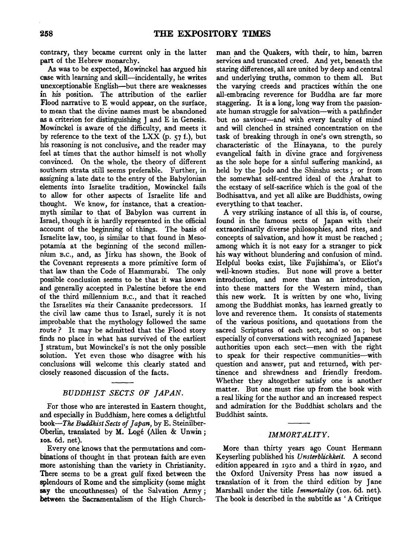contrary, they became current only .in the latter part of the Hebrew monarchy.

As was to be expected, Mowinckel has argued his case with learning and skill-incidentally, he writes unexceptionable English-but there are weaknesses in his position. The attribution of the earlier Flood narrative to E would appear, on the surface, to mean that the divine names must be abandoned as a criterion for distinguishing J and E in Genesis. Mowinckel is aware of the difficulty, and meets it by reference to the text of the LXX (p.  $57$  f.), but his reasoning is not conclusive, and the reader may feel at times that the author himself is not wholly convinced. On the whole, the theory of different southern strata still seems preferable. Further, in assigning a late date to the entry of the Babylonian elements into Israelite tradition, Mowinckel fails to allow for other aspects of Israelite life and thought. We know, for instance, that a creationmyth similar to that of Babylon was current in Israel, though it is hardly represented in the official account of the beginning of things. The basis of Israelite law, too, is similar to that found in Mesopotamia at the beginning of the second millennium B.c., and, as Jirku has shown, the Book of the Covenant represents a more primitive form of that law than the Code of Hammurabi. The only possible conclusion seems to be that it was known and generally accepted in Palestine before the end of the third millennium B.c., and that it reached the third millennium B.C., and that it reached<br>a Israelites *sig* their Canaanite predecessors. If the Israelites  $via$  their Canaanite predecessors. If the civil law came thus to Israel, surely it is not probable that the mythology followed the same<br>probable that the mythology followed the Same<br>wto  $\frac{3}{2}$ . It may be admitted that  $\frac{3}{2}$ route? It may be admitted that the Flood story<br>finds no place in what has survived of the earliest J stratum, but Mowinckel's is not the only possible solution. Yet even those who disagree with his conclusions will welcome this clearly stated and closely reasoned discussion of the facts.

# *BUDDHIST SECTS OF JAPAN.*

For those who are interested in Eastern thought, rui muse who are interested in Eastern thought, book-*The Buddhism*, here comes a delightful<br>book-*The Buddhist* Sectoral *Letter*, by E. Steinilber  $book$ –The Buddhist Sects of Japan, by E. Steinilber-Oberlin, translated by M. Logé (Allen & Unwin; 10s. 6d. net). Every one knows that the permutations and com-

bit binds of thought in that permutations and combinations of thought in that protean faith are even more astonishing than the variety in Christianity. There seems to be a great gulf fixed between the splendours of Rome and the simplicity (some might say the uncouthnesses) of the Salvation Army;<br>between the Sacramentalism of the High Church-

man and the Quakers, with their, to him, barren services and truncated creed. And yet, beneath the staring differences, all are united by deep and central and underlying truths, common to them all. But the varying creeds and practices within the one all-embracing reverence for Buddha are far more staggering. It is a long, long way from the passionate human struggle for salvation—with a pathfinder but no saviour-and with every faculty of mind and will clenched in strained concentration on the task of breaking through in one's own strength, so characteristic of the Hinayana, to the purely evangelical faith in divine grace and forgiveness as the sole hope for a sinful suffering mankind, as held by the Jodo and the Shinshu sects; or from the somewhat self-centred ideal of the Arahat to the ecstasy of self-sacrifice which is the goal of the Bodhisattva, and yet all alike are Buddhists, owing everything to that teacher.

A very striking instance of all this is, of course, found in the famous sects of Japan with their extraordinarily diverse philosophies, and rites, and concepts of salvation, and how it must be reached ; among which it is not easy for a stranger to pick his way without blundering and confusion of mind. Helpful books exist, like Fujishima's, or Eliot's well-known studies. But none will prove a better introduction, and more than an introduction, into these matters for the Western mind, than this new work. It is written by one who, living among the Buddhist monks, has learned greatly to love and reverence them. It consists of statements of the various positions, and quotations from the sacred Scriptures of each sect, and so on ; but especially of conversations with recognized Japanese authorities upon each sect-men with the right to speak for their respective communities-with peak for their respective communities-with ticstion and answer, put and returned, with pernence and sinewaness and menury necuom. mether. But one must rise up from the book with atter. But one must use up from the book with a real liking for the author and an increased respect and admiration for the Buddhist scholars and the Buddhist saints.

#### *IMMORTALITY.*

More than thirty years ago Count Hermann Keyserling published his *Unsterblichkeit.* A second eyseming published in *Unsterbathken*. A second the Oxford University Press has now issued a translation of it from the third edition by Jones. Marshall under the title *Immortality* (1os. 6d. net). Marshall under the title *Immortality* (10s. 6d. net).<br>The book is described in the subtitle as 'A Critique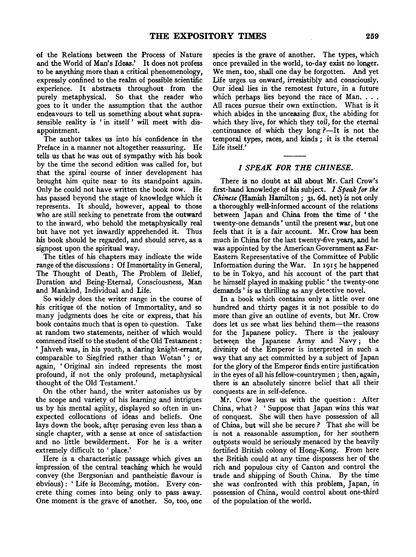of the Relations between the Process of Nature and the World of Man's Ideas.' It does not profess to be anything more than a critical phenomenology, expressly confined to the realm of possible scientific experience. It abstracts throughout from the purely metaphysical. So that the reader who goes to it under the assumption that the author endeavours to tell us something about what suprasensible reality is ' in itself ' will meet with disappointment.

The author takes us into his confidence in the Preface in a manner not altogether reassuring. He tells us that he was out of sympathy with his book by the time the second edition was called for, but that the spiral course of inner development has brought him quite near to its standpoint again. Only he could not have written the book now. He has passed beyond the stage of knowledge which it represents. It should, however, appeal to those who are still seeking to penetrate from the outward to the inward, who behold the metaphysically real but have not yet inwardly apprehended it. Thus his book should be regarded, and should serve, as a signpost upon the spiritual way.

The titles of his chapters may indicate the wide range of the discussions: Of Immortality in General, The Thought of Death, The Problem of Belief, Duration and Being-Eternal, Consciousness, Man and Mankind, Individual and Life.

So widely does the writer range in the course of his critique of the notion of Immortality, and so many judgments does he cite or express, that his book contains much that is open to question. Take at random two statements, neither of which would commend itself to the student of the Old Testament : 'Jahveh was, in his youth, a daring knight-errant, comparable to Siegfried rather than Wotan'; or again, ' Original sin indeed represents the most profound, if not the only profound, metaphysical thought of the Old Testament.'

On the other hand, the writer astonishes us by the scope and variety of his learning and intrigues us by his mental agility, displayed so often in unexpected collocations of ideas and beliefs. One lays down the book, after perusing even less than a single chapter, with a sense at once of satisfaction and no little bewilderment. For he is a writer extremely difficult to ' place.'

Here is a characteristic passage which gives an impression of the central teaching which he would convey (the Bergsonian and pantheistic flavour is obvious): 'Life is Becoming, motion. Every concrete thing comes into being only to pass away. One moment is the grave of another. So, too, one

species is the grave of another. The types, which once prevailed in the world, to-day exist no longer. We men, too, shall one day be forgotten. And yet Life urges us onward, irresistibly and consciously. Our ideal lies in the remotest future, in a future which perhaps lies beyond the race of Man. . . . All races pursue their own extinction. What is it which abides in the unceasing flux, the abiding for which they live, for which they toil, for the eternal continuance of which they long ?-It is not the temporal types, races, and kinds ; it is the eternal Life itself.'

## *I SPEAK FOR THE CHINESE.*

There is no doubt at all about Mr. Carl Crow's first-hand knowledge of his subject. *I Speak for the Chinese* (Hamish Hamilton; 3s. 6d. net) is not only a thoroughly well-informed account of the relations between Japan and China from the time of ' the twenty-one demands' until the present war, but one feels that it is a fair account. Mr. Crow has been much in China for the last twenty-five years, and he was appointed by the American Government as Far-Eastern Representative of the Committee of Public Information during the War. In 1915 he happened to be in Tokyo, and his account of the part that he himself played in making public ' the twenty-one demands' is as thrilling as any detective novel.

In a book which contains only a little over one hundred and thirty pages it is not possible to do more than give an outline of events, but Mr. Crow does let us see what lies behind them-the reasons for the Japanese policy. There is the jealousy between the Japanese Army and Navy; the divinity of the Emperor is interpreted in such a way that any act committed by a subject of Japan for the glory of the Emperor finds entire justification in the eyes of all his fellow-countrymen; then, again, there is an absolutely sincere belief that all their conquests are in self-defence.

Mr. Crow leaves us with the question: After China, what? 'Suppose that Japan wins this war of conquest. She will then have possession of all of China, but will she be secure ? That she will be is not a reasonable assumption, for her southern outposts would be seriously menaced by the heavily fortified British colony of Hong-Kong. From here the British could at any time dispossess her of the rich and populous city of Canton and control the trade and shipping of South China. By the time she was confronted with this problem, Japan, in possession of China, would control about one-third of the population of the world.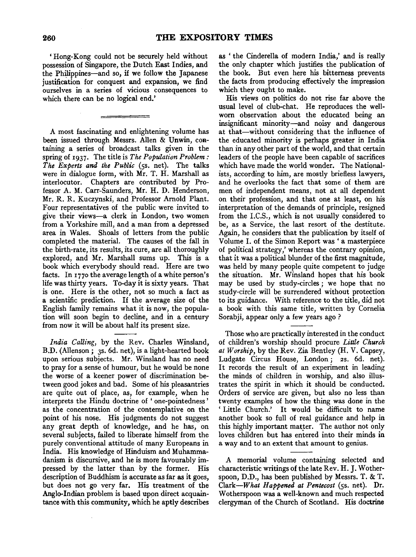'Hong-Kong could not be securely held without possession of Singapore, the Dutch East Indies, and the Philippines-and so, if we follow the Japanese justification for conquest and expansion, we find ourselves in a series of vicious consequences to which there can be no logical end.'

A most fascinating and enlightening volume has been issued through Messrs. Alien & Unwin, containing a series of broadcast talks given in the spring of 1937. The title is *The Population Problem: The Experts and the Public* (ss. net). The talks were in dialogue form, with Mr. T. H. Marshall as interlocutor. Chapters are contributed by Professor A. M. Carr-Saunders, Mr. H. D. Henderson, Mr. R. R. Kuczynski, and Professor Arnold Plant. Four representatives of the public were invited to give their views-a clerk in London, two women from a Yorkshire mill, and a man from a depressed area in Wales. Shoals of letters from the public completed the material. The causes of the fall in the birth-rate, its results, its cure, are all thoroughly explored, and Mr. Marshall sums up. This is a book which everybody should read. Here are two facts. In 1770 the average length of a white person's life was thirty years. To-day it is sixty years. That is one. Here is the other, not so much a fact as a scientific prediction. If the average size of the English family remains what it is now, the population will soon begin to decline, and in a century from now it will be about half its present size.

India Calling, by the Rev. Charles Winsland, B.D. (Allenson; 3s. 6d. net), is a light-hearted book upon serious subjects. Mr. Winsland has no need to pray for a sense of humour, but he would be none the worse of a keener power of discrimination between good jokes and bad. Some of his pleasantries are quite out of place, as, for example, when he interprets the Hindu doctrine of ' one-pointedness ' as the concentration of the contemplative on the point of his nose. His judgments do not suggest any great depth of knowledge, and he has, on several subjects, failed to liberate himself from the purely conventional attitude of many Europeans in India. His knowledge of Hinduism and Muhammadanism is discursive, and he is more favourably impressed by the latter than by the former. His description of Buddhism is accurate as far as it goes, but does not go very far. His treatment of the Anglo-Indian problem is based upon direct acquaintance with this community, which he aptly describes

as ' the Cinderella of modern India,' and is really the only chapter which justifies the publication of the book. But even here his bitterness prevents the facts from producing effectively the impression which they ought to make.

His views on politics do not rise far above the usual level of club~chat. He reproduces the wellworn observation about the educated being an insignificant minority-and noisy and dangerous at that-without considering that the influence of the educated minority is perhaps greater in India than in any other part of the world, and that certain leaders of the people have been capable of sacrifices which have made the world wonder. The Nationalists, according to him, are mostly briefless lawyers, and he overlooks the fact that some of them are men of independent means, not at all dependent on their profession, and that one at least, on his interpretation of the demands of principle, resigned from the I.C.S., which is not usually considered to be, as a Service, the last resort of the destitute. Again, he considers that the publication by itself of Volume I. of the Simon Report was ' a masterpiece of political strategy,' whereas the contrary opinion, that it was a political blunder of the first magnitude, was held by many people quite competent to judge the situation. Mr. Winsland hopes that his book may be used by study-circles ; we hope that no study-circle will be surrendered without protection to its guidance. With reference to the title, did not a book with this same title, written by Cornelia Sorabji, appear only a few years ago ?

Those who are practically interested in the conduct of children's worship should procure *Little Church at Worship,* by the Rev. Zia Bentley (H. V. Capsey, Ludgate Circus House, London; 2s. 6d. net). It records the result of an experiment in leading the minds of children in worship, and also illustrates the spirit in which it should be conducted. Orders of service are given, but also no less than twenty examples of how the thing was done in the ' Little Church.' It would be difficult to name another book so full of real guidance and help in this highly important matter. The author not only loves children but has entered into their minds in a way and to an extent that amount to genius.

A memorial volume containing selected and characteristic writings of the late Rev. H. J. Wotherspoon, D.D., has been published by Messrs. T. & T. *Clark-What Happened at Pentecost* (ss. net). Dr. Wotherspoon was a well-known and much respected clergyman of the Church of Scotland. His doctrine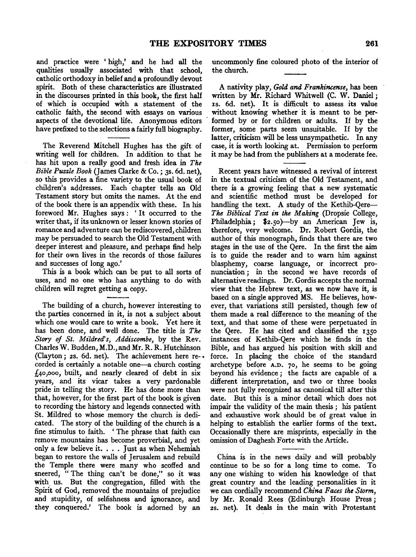and practice were ' high,' and he had all the qualities usually associated with that school, catholic orthodoxy in belief and a profoundly devout spirit. Both of these characteristics are illustrated in the discourses printed in this book, the first half of which is occupied with a statement of the catholic faith, the second with essays on various aspects of the devotional life. Anonymous editors have prefixed to the selections a fairly full biography.

The Reverend Mitchell Hughes has the gift of writing well for children. In addition to that he has hit upon a really good and fresh idea in *The Bible Puzzle Book* (James Clarke & Co.; 3s. 6d. net), so this provides a fine variety to the usual book of children's addresses. Each chapter tells an Old Testament story but omits the names. At the end of the book there is an appendix with these. In his foreword Mr. Hughes says : ' It occurred to the writer that, if its unknown or lesser known stories of romance and adventure can be rediscovered, children may be persuaded to search the Old Testament with deeper interest and pleasure, and perhaps find help for their own lives in the records of those failures and successes of long ago.'

This is a book which can be put to all sorts of uses, and no one who has anything to do with children will regret getting a copy.

The building of a church, however interesting to the parties concerned in it, is not a subject about which one would care to write a book. Yet here it has been done, and well done. The title is *The Story of St. Mildred's, Addiscombe,* by the Rev. Charles W. Budden, M.D., and Mr. R. R. Hutchinson (Clayton; *zs.* 6d. net). The achievement here re- • corded is certainly a notable one-a church costing  $f_4$ o,000, built, and nearly cleared of debt in six years, and its vicar takes a very pardonable pride in telling the story. He has done more than that, however, for the first part of the book is given to recording the history and legends connected with St. Mildred to whose memory the church is dedicated. The story of the building of the church is a fine stimulus to faith. ' The phrase that faith can remove mountains has become proverbial, and yet only a few believe it .... Just as when Nehemiah began to restore the walls of Jerusalem and rebuild the Temple there were many who scoffed and sneered, "The thing can't be done," so it was with us. But the congregation, filled with the Spirit of God, removed the mountains of prejudice and stupidity, of selfishness and ignorance, and they conquered.' The book is adorned by an

uncommonly fine coloured photo of the interior of the church.

A nativity play, *Gold and Frankincense,* has been written by Mr. Richard Whitwell (C. W. Daniel; IS. 6d. net). It is difficult to assess its value without knowing whether it is meant to be per- . formed by or for children or adults. If by the former, some parts seem unsuitable. If by the latter, criticism will be less unsympathetic. In any case, it is worth looking at. Permission to perform it may be had from the publishers at a moderate fee.

Recent years have witnessed a revival of interest in the textual criticism of the Old Testament, and there is a growing feeling that a new systematic and scientific method must be developed for handling the text. A study of the Kethib-Qere-*The Biblical Text in the Making* (Dropsie College, Philadelphia; \$2.5o)-by an American Jew is, therefore, very welcome. Dr. Robert Gordis, the author of this monograph, finds that there are two stages in the use of the Qere. In the first the aim is to guide the reader and to warn him against blasphemy, coarse language, or incorrect pronunciation; in the second we have records of alternative readings. Dr. Gordis accepts the normal view that the Hebrew text, as we now have it, is based on a single approved MS. He believes, however, that variations still persisted, though few of them made a real difference to the meaning of the text, and that some of these were perpetuated in the Qere. He has cited and classified the 1350 instances of Kethib-Qere which he finds in the Bible, and has argued his position with skill and force. In placing the choice of the standard archetype before A.D. 70, he seems to be going beyond his evidence ; the facts are capable of a different interpretation, and two or three books were not fully recognized as canonical till after this date. But this is a minor detail which does not impair the validity of the main thesis ; his patient and exhaustive work should be of great value in helping to establish the earlier forms of the text. Occasionally there are misprints, especially in the omission of Daghesh Forte with the Article.

China is in the news daily and will probably continue to be so for a long time to come. To any one wishing to widen his knowledge of that great country and the leading personalities in it we can cordially recommend *China Faces the Storm,*  by Mr. Ronald Rees (Edinburgh House Press; *zs.* net). It deals in the main with Protestant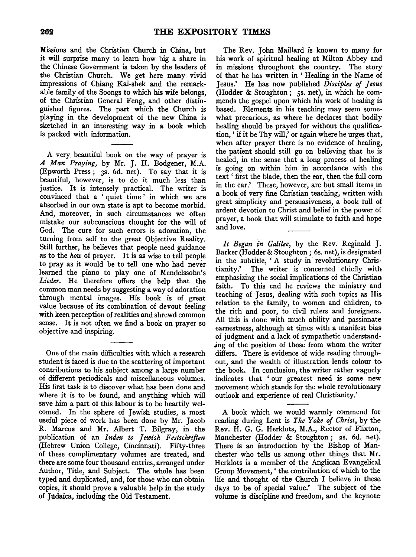Missions and the Christian Church in China, but it will surprise many to learn how big a share in the Chinese Government is taken by the leaders of the Christian Church. We get here many vivid impressions of Chiang Kai-shek and the remarkable family of the Soongs to which his wife belongs, of the Christian General Feng, and other distinguished figures. The part which the Church is playing in the development of the new China is sketched in an interesting way in a book which is packed with information.

A very. beautiful book on the way of prayer is *A Man Praying,* by Mr. J. H. Bodgener, M.A. (Epworth Press; 3s. 6d. net). To say that it is beautiful, however, is to do it much less than justice. It is intensely practical. The writer is convinced that a ' quiet time ' in which we are absorbed in our own state is apt to become morbid. And, moreover, in such circumstances we often mistake our subconscious thought for the will of God. The cure for such errors is adoration, the turning from self to the great Objective Reality. Still further, he believes that people need guidance as to the *how* of prayer. It is as wise to tell people to pray as it would be to tell one who had never learned the piano to play one of Mendelssohn's *Lieder.* He therefore offers the help that the common man needs by suggesting a way of adoration through mental images. His book is of great value because of its combination of devout feeling with keen perception of realities and shrewd common sense. It is not often we find a book on prayer so objective and inspiring.

One of the main difficulties with which a research student is faced is due to the scattering of important contributions to his subject among a large number of different periodicals and miscellaneous volumes. His first task is to discover what has been done and where it is to be found, and anything which will save him a part of this labour is to be heartily welcomed. In the sphere of Jewish studies, a most useful piece of work has been done by Mr. Jacob R. Marcus and Mr. Albert T. Bilgray, in the publication of an *Index to Jewish Festschrijten*  (Hebrew Union College, Cincinnati). Fifty-three of these complimentary volumes are treated, and there are some four thousand entries, arranged under Author, Title, and Subject. The whole has been typed and duplicated, and, for those who can obtain copies, it should prove a valuable help in the study of Judaica, including the Old Testament.

The Rev. John Maillard is known to many for his work of spiritual healing at Milton Abbey and in missions throughout the country. The story of that he has written in ' Healing in the Name of Jesus.' He has now published *Disciples of Jesus*  (Hodder & Stoughton; 5s. net), in which he commends the gospel upon which his work of healing is based. Elements in his teaching may seem somewhat precarious, as where he declares that bodily healing should be prayed for without the qualification, ' if it be Thy will,' or again where he urges that, when after prayer there is no evidence of healing, the patient should still go on believing that he is healed, in the sense that a long process of healing is going on within him in accordance with the text' first the blade, then the ear, then the full corn in the ear.' These, however, are but small items in a book of very fine Christian teaching, written with great simplicity and persuasiveness, a book full of ardent devotion to Christ and belief in the power of prayer, a book that will stimulate to faith and hope and love.

*It Began in Galilee,* by the Rev. Reginald J. Barker (Hodder & Stoughton; 6s. net), is designated in the subtitle, ' A study in revolutionary Christianity.' The writer is concerned chiefly with emphasizing the social implications of the Christian faith. To this end he reviews the ministry and teaching of Jesus, dealing with such topics as His relation to the family, to women and children, to the rich and poor, to civil rulers and foreigners. All this is done with much ability and passionate earnestness, although at times with a manifest bias of judgment and a lack of sympathetic understand- .ing of the position of those from whom the writer differs. There is evidence of wide reading throughout, and the wealth of illustration lends colour to the book. In conclusion, the writer rather vaguely indicates that ' our greatest need is some new movement which stands for the whole revolutionary outlook and experience of real Christianity.'

A book which we would warmly commend for reading during Lent is *The Yoke of Christ,* by the Rev. H. G. G. Herklots, M.A., Rector of Flixton,. Manchester (Hodder & Stoughton; 2s. 6d. net). There is an introduction by the Bishop of Manchester who tells us among other things that Mr. Herklots is a member of the Anglican Evangelical Group Movement, ' the contribution of which to the life and thought of the Church I believe in these days to be of special value.' The subject of the volume is discipline and freedom, and the keynote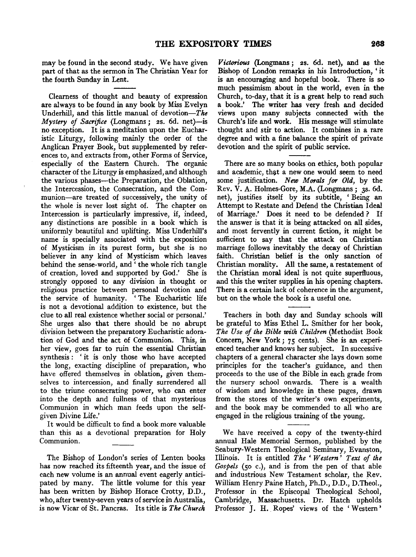may be found in the second study. We have given part of that as the sermon in The Christian Year for the fourth Sunday in Lent.

Clearness of thought and beauty of expression are always to be found in any book by Miss Evelyn Underhill, and this little manual of devotion- $The$ *Mystery of Sacrifice* (Longmans; 2s. 6d. net)-is no exception. It is a meditation upon the Eucharistic Liturgy, following mainly the order of the Anglican Prayer Book, but supplemented by references to, and extracts from, other Forms of Service, especially of the Eastern Church. The organic character of the Liturgy is emphasized, and although the various phases-the Preparation, the Oblation, the Intercession, the Consecration, and the Communion-are treated of successively, the unity of the whole is never lost sight of. The chapter on Intercession is particularly impressive, if, indeed, any distinctions are possible in a book which is uniformly beautiful and uplifting. Miss Underhill's name is specially associated with the exposition of Mysticism in its purest form, but she is no believer in any kind of Mysticism which leaves behind the sense-world, and ' the whole rich tangle of creation, loved and supported by God.' She is strongly opposed to any division in thought or religious practice between personal devotion and the service of humanity. ' The Eucharistic life is not a devotional addition to existence, but the clue to all real existence whether social or personal.' She urges also that there should be no abrupt division between the preparatory Eucharistic adoration of God and the act of Communion. This, in her view, goes far to ruin the essential Christian synthesis: 'it is only those who have accepted the long, exacting discipline of preparation, who have offered themselves in oblation, given themselves to intercession, and finally surrendered all to the triune consecrating power, who can enter into the depth and fullness of that mysterious Communion in which man feeds upon the selfgiven Divine Life.'

It would be difficult to find a book more valuable than this as a devotional preparation for Holy Communion.

The Bishop of London's series of Lenten books has now reached its fifteenth year, and the issue of each new volume is an annual event eagerly anticipated by many. The little volume for this year has been written by Bishop Horace Crotty, D.D., who, after twenty-seven years of service in Australia, is now Vicar of St. Pancras. Its title is *The Church* 

*Victorious* (Longmans; 2s. 6d. net), and as the Bishop of London remarks in his Introduction, ' it is an encouraging and hopeful book. There is so much pessimism about in the world, even in the Church, to-day, that it is a great help to read such a book.' The writer has very fresh and decided views upon many subjects connected with the Church's life and work. His message will stimulate thought and stir to action. It combines in a rare degree and with a fine balance the spirit of private devotion and the spirit of public service.

There are so many books on ethics, both popular and academic, that a new one would seem to need some justification. *New Morals for Old,* by the Rev. V. A. Holmes-Gore, M.A. (Longmans ; 3s. 6d. net), justifies itself by its subtitle, ' Being an Attempt to Restate and Defend the Christian Ideal of Marriage.' Does it need to be defended ? If the answer is that it is being attacked on all sides, and most fervently in current fiction, it might be sufficient to say that the attack on Christian marriage follows inevitably the decay of Christian faith. Christian belief is the only sanction of Christian morality. All the same, a restatement of the Christian moral ideal is not quite superfluous, and this the writer supplies in his opening chapters. There is a certain lack of coherence in the argument, but on the whole the book is a useful one.

Teachers in both day and Sunday schools will be grateful to Miss Ethel L. Smither for her book, *The Use of the Bible with Children* (Methodist Book Concern, New York; 75 cents). She is an experienced teacher and knows her subject. In successive chapters of a general character she lays down some principles for the teacher's guidance, and then proceeds to the use of the Bible in each grade from the nursery school onwards. There is a wealth of wisdom and knowledge in these pages, drawn from the stores of the writer's own experiments, and the book may be commended to all who are engaged in the religious training of the young.

We have received a copy of the twenty-third annual Hale Memorial Sermon, published by the Seabury-Westem Theological Seminary, Evanston, Illinois. It is entitled *The* ' *Western' Text of the Gospels* (so c.), and is from the pen of that able and industrious New Testament scholar, the Rev. William Henry Paine Hatch, Ph.D., D.D., D.Theol., Professor in the Episcopal Theological School, Cambridge, Massachusetts. Dr, Hatch upholds Professor J. H. Ropes' views of the 'Western'